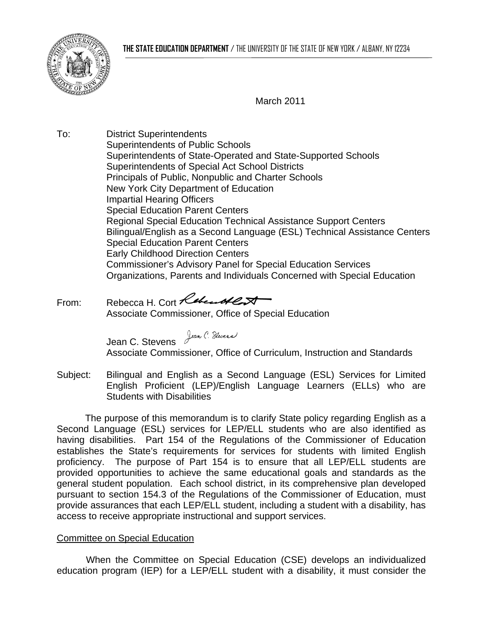

March 2011

To: District Superintendents Superintendents of Public Schools Superintendents of State-Operated and State-Supported Schools Superintendents of Special Act School Districts Principals of Public, Nonpublic and Charter Schools New York City Department of Education Impartial Hearing Officers Special Education Parent Centers Regional Special Education Technical Assistance Support Centers Bilingual/English as a Second Language (ESL) Technical Assistance Centers Special Education Parent Centers Early Childhood Direction Centers Commissioner's Advisory Panel for Special Education Services Organizations, Parents and Individuals Concerned with Special Education

From: Rebecca H. Cort Rebeccal Associate Commissioner, Office of Special Education

> Jean C. Stevens Jean C. Sluens Associate Commissioner, Office of Curriculum, Instruction and Standards

Subject: Bilingual and English as a Second Language (ESL) Services for Limited English Proficient (LEP)/English Language Learners (ELLs) who are Students with Disabilities

The purpose of this memorandum is to clarify State policy regarding English as a Second Language (ESL) services for LEP/ELL students who are also identified as having disabilities. Part 154 of the Regulations of the Commissioner of Education establishes the State's requirements for services for students with limited English proficiency. The purpose of Part 154 is to ensure that all LEP/ELL students are provided opportunities to achieve the same educational goals and standards as the general student population. Each school district, in its comprehensive plan developed pursuant to section 154.3 of the Regulations of the Commissioner of Education, must provide assurances that each LEP/ELL student, including a student with a disability, has access to receive appropriate instructional and support services.

## Committee on Special Education

When the Committee on Special Education (CSE) develops an individualized education program (IEP) for a LEP/ELL student with a disability, it must consider the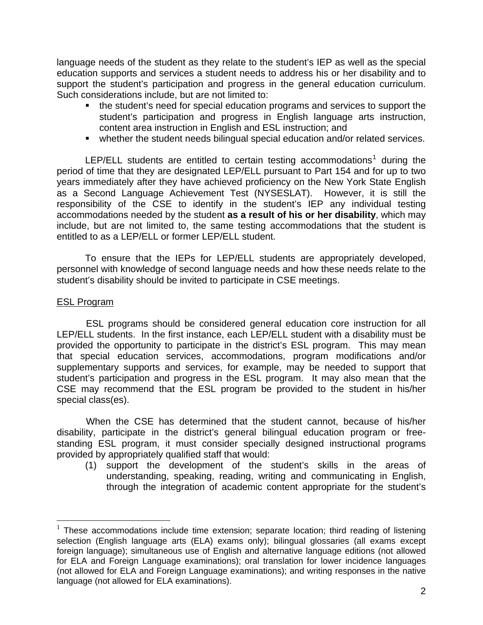language needs of the student as they relate to the student's IEP as well as the special education supports and services a student needs to address his or her disability and to support the student's participation and progress in the general education curriculum. Such considerations include, but are not limited to:

- the student's need for special education programs and services to support the student's participation and progress in English language arts instruction, content area instruction in English and ESL instruction; and
- whether the student needs bilingual special education and/or related services.

LEP/ELL students are entitled to certain testing accommodations<sup>[1](#page-1-0)</sup> during the period of time that they are designated LEP/ELL pursuant to Part 154 and for up to two years immediately after they have achieved proficiency on the New York State English as a Second Language Achievement Test (NYSESLAT). However, it is still the responsibility of the CSE to identify in the student's IEP any individual testing accommodations needed by the student **as a result of his or her disability**, which may include, but are not limited to, the same testing accommodations that the student is entitled to as a LEP/ELL or former LEP/ELL student.

To ensure that the IEPs for LEP/ELL students are appropriately developed, personnel with knowledge of second language needs and how these needs relate to the student's disability should be invited to participate in CSE meetings.

## ESL Program

 $\overline{a}$ 

ESL programs should be considered general education core instruction for all LEP/ELL students. In the first instance, each LEP/ELL student with a disability must be provided the opportunity to participate in the district's ESL program. This may mean that special education services, accommodations, program modifications and/or supplementary supports and services, for example, may be needed to support that student's participation and progress in the ESL program. It may also mean that the CSE may recommend that the ESL program be provided to the student in his/her special class(es).

When the CSE has determined that the student cannot, because of his/her disability, participate in the district's general bilingual education program or freestanding ESL program, it must consider specially designed instructional programs provided by appropriately qualified staff that would:

(1) support the development of the student's skills in the areas of understanding, speaking, reading, writing and communicating in English, through the integration of academic content appropriate for the student's

<span id="page-1-0"></span> $1$  These accommodations include time extension; separate location; third reading of listening selection (English language arts (ELA) exams only); bilingual glossaries (all exams except foreign language); simultaneous use of English and alternative language editions (not allowed for ELA and Foreign Language examinations); oral translation for lower incidence languages (not allowed for ELA and Foreign Language examinations); and writing responses in the native language (not allowed for ELA examinations).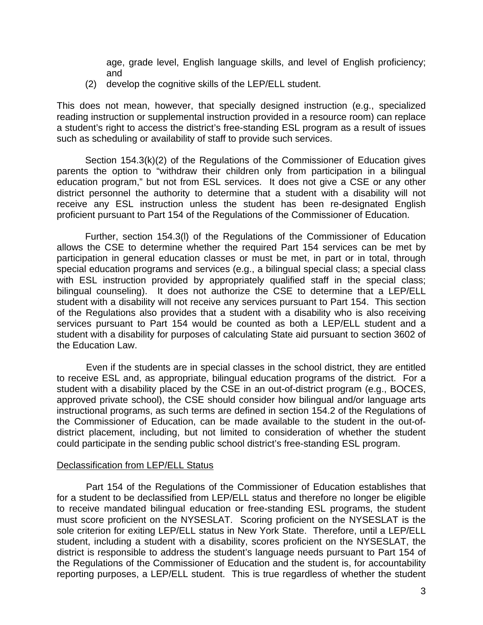age, grade level, English language skills, and level of English proficiency; and

(2) develop the cognitive skills of the LEP/ELL student.

This does not mean, however, that specially designed instruction (e.g., specialized reading instruction or supplemental instruction provided in a resource room) can replace a student's right to access the district's free-standing ESL program as a result of issues such as scheduling or availability of staff to provide such services.

Section 154.3(k)(2) of the Regulations of the Commissioner of Education gives parents the option to "withdraw their children only from participation in a bilingual education program," but not from ESL services. It does not give a CSE or any other district personnel the authority to determine that a student with a disability will not receive any ESL instruction unless the student has been re-designated English proficient pursuant to Part 154 of the Regulations of the Commissioner of Education.

Further, section 154.3(l) of the Regulations of the Commissioner of Education allows the CSE to determine whether the required Part 154 services can be met by participation in general education classes or must be met, in part or in total, through special education programs and services (e.g., a bilingual special class; a special class with ESL instruction provided by appropriately qualified staff in the special class; bilingual counseling). It does not authorize the CSE to determine that a LEP/ELL student with a disability will not receive any services pursuant to Part 154. This section of the Regulations also provides that a student with a disability who is also receiving services pursuant to Part 154 would be counted as both a LEP/ELL student and a student with a disability for purposes of calculating State aid pursuant to section 3602 of the Education Law.

Even if the students are in special classes in the school district, they are entitled to receive ESL and, as appropriate, bilingual education programs of the district. For a student with a disability placed by the CSE in an out-of-district program (e.g., BOCES, approved private school), the CSE should consider how bilingual and/or language arts instructional programs, as such terms are defined in section 154.2 of the Regulations of the Commissioner of Education, can be made available to the student in the out-ofdistrict placement, including, but not limited to consideration of whether the student could participate in the sending public school district's free-standing ESL program.

## Declassification from LEP/ELL Status

Part 154 of the Regulations of the Commissioner of Education establishes that for a student to be declassified from LEP/ELL status and therefore no longer be eligible to receive mandated bilingual education or free-standing ESL programs, the student must score proficient on the NYSESLAT. Scoring proficient on the NYSESLAT is the sole criterion for exiting LEP/ELL status in New York State. Therefore, until a LEP/ELL student, including a student with a disability, scores proficient on the NYSESLAT, the district is responsible to address the student's language needs pursuant to Part 154 of the Regulations of the Commissioner of Education and the student is, for accountability reporting purposes, a LEP/ELL student. This is true regardless of whether the student